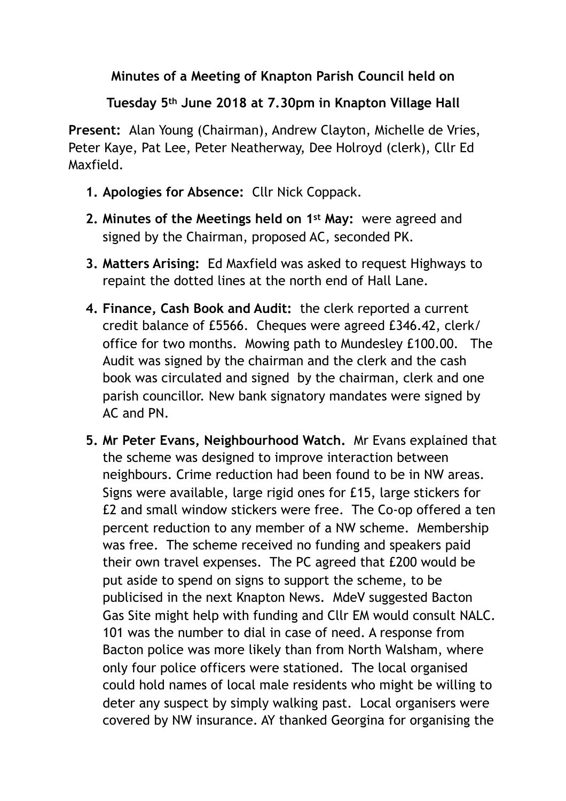## **Minutes of a Meeting of Knapton Parish Council held on**

## **Tuesday 5th June 2018 at 7.30pm in Knapton Village Hall**

**Present:** Alan Young (Chairman), Andrew Clayton, Michelle de Vries, Peter Kaye, Pat Lee, Peter Neatherway, Dee Holroyd (clerk), Cllr Ed Maxfield.

- **1. Apologies for Absence:** Cllr Nick Coppack.
- **2. Minutes of the Meetings held on 1st May:** were agreed and signed by the Chairman, proposed AC, seconded PK.
- **3. Matters Arising:** Ed Maxfield was asked to request Highways to repaint the dotted lines at the north end of Hall Lane.
- **4. Finance, Cash Book and Audit:** the clerk reported a current credit balance of £5566. Cheques were agreed £346.42, clerk/ office for two months. Mowing path to Mundesley £100.00. The Audit was signed by the chairman and the clerk and the cash book was circulated and signed by the chairman, clerk and one parish councillor. New bank signatory mandates were signed by AC and PN.
- **5. Mr Peter Evans, Neighbourhood Watch.** Mr Evans explained that the scheme was designed to improve interaction between neighbours. Crime reduction had been found to be in NW areas. Signs were available, large rigid ones for £15, large stickers for £2 and small window stickers were free. The Co-op offered a ten percent reduction to any member of a NW scheme. Membership was free. The scheme received no funding and speakers paid their own travel expenses. The PC agreed that £200 would be put aside to spend on signs to support the scheme, to be publicised in the next Knapton News. MdeV suggested Bacton Gas Site might help with funding and Cllr EM would consult NALC. 101 was the number to dial in case of need. A response from Bacton police was more likely than from North Walsham, where only four police officers were stationed. The local organised could hold names of local male residents who might be willing to deter any suspect by simply walking past. Local organisers were covered by NW insurance. AY thanked Georgina for organising the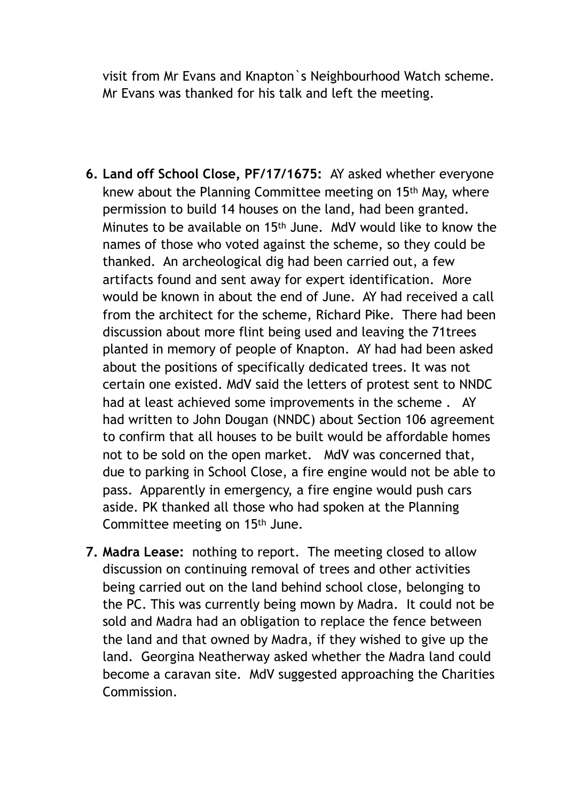visit from Mr Evans and Knapton`s Neighbourhood Watch scheme. Mr Evans was thanked for his talk and left the meeting.

- **6. Land off School Close, PF/17/1675:** AY asked whether everyone knew about the Planning Committee meeting on 15th May, where permission to build 14 houses on the land, had been granted. Minutes to be available on 15th June. MdV would like to know the names of those who voted against the scheme, so they could be thanked. An archeological dig had been carried out, a few artifacts found and sent away for expert identification. More would be known in about the end of June. AY had received a call from the architect for the scheme, Richard Pike. There had been discussion about more flint being used and leaving the 71trees planted in memory of people of Knapton. AY had had been asked about the positions of specifically dedicated trees. It was not certain one existed. MdV said the letters of protest sent to NNDC had at least achieved some improvements in the scheme . AY had written to John Dougan (NNDC) about Section 106 agreement to confirm that all houses to be built would be affordable homes not to be sold on the open market. MdV was concerned that, due to parking in School Close, a fire engine would not be able to pass. Apparently in emergency, a fire engine would push cars aside. PK thanked all those who had spoken at the Planning Committee meeting on 15th June.
- **7. Madra Lease:** nothing to report. The meeting closed to allow discussion on continuing removal of trees and other activities being carried out on the land behind school close, belonging to the PC. This was currently being mown by Madra. It could not be sold and Madra had an obligation to replace the fence between the land and that owned by Madra, if they wished to give up the land. Georgina Neatherway asked whether the Madra land could become a caravan site. MdV suggested approaching the Charities Commission.